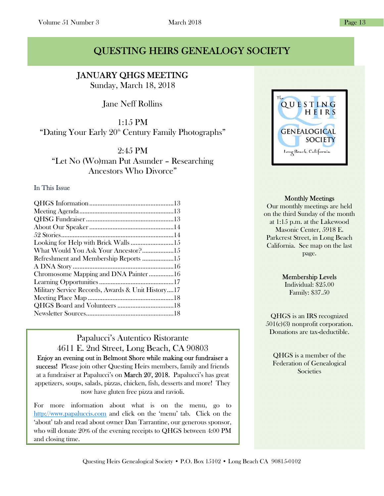# QUESTING HEIRS GENEALOGY SOCIETY

I JANUARY QHGS MEETING

Sunday, March 18, 2018

Jane Neff Rollins

1:15 PM "Dating Your Early 20<sup>th</sup> Century Family Photographs"

2:45 PM "Let No (Wo)man Put Asunder – Researching Ancestors Who Divorce"

### In This Issue

| Looking for Help with Brick Walls 15              |  |
|---------------------------------------------------|--|
| What Would You Ask Your Ancestor?15               |  |
| Refreshment and Membership Reports 15             |  |
|                                                   |  |
| Chromosome Mapping and DNA Painter16              |  |
|                                                   |  |
| Military Service Records, Awards & Unit History17 |  |
|                                                   |  |
|                                                   |  |
|                                                   |  |
|                                                   |  |

## Papalucci's Autentico Ristorante 4611 E. 2nd Street, Long Beach, CA 90803

Enjoy an evening out in Belmont Shore while making our fundraiser a success! Please join other Questing Heirs members, family and friends at a fundraiser at Papalucci's on **March 20', 2018.** Papalucci's has great appetizers, soups, salads, pizzas, chicken, fish, desserts and more! They now have gluten free pizza and ravioli.

For more information about what is on the menu, go to http://www.papaluccis.com and click on the 'menu' tab. Click on the 'about' tab and read about owner Dan Tarrantine, our generous sponsor, who will donate 20% of the evening receipts to QHGS between 4:00 PM and closing time.



#### Monthly Meetings

Our monthly meetings are held on the third Sunday of the month at 1:15 p.m. at the Lakewood Masonic Center, 5918 E. Parkcrest Street, in Long Beach California. See map on the last page.

#### Membership Levels

Individual: \$25.00 Family: \$37.50

QHGS is an IRS recognized 501(c)(3) nonprofit corporation. Donations are tax-deductible.

QHGS is a member of the Federation of Genealogical **Societies**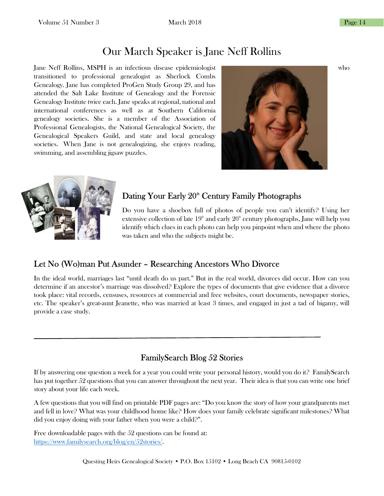# Our March Speaker is Jane Neff Rollins

Jane Neff Rollins, MSPH is an infectious disease epidemiologist who transitioned to professional genealogist as Sherlock Combs Genealogy. Jane has completed ProGen Study Group 29, and has attended the Salt Lake Institute of Genealogy and the Forensic Genealogy Institute twice each. Jane speaks at regional, national and international conferences as well as at Southern California genealogy societies. She is a member of the Association of Professional Genealogists, the National Genealogical Society, the Genealogical Speakers Guild, and state and local genealogy societies. When Jane is not genealogizing, she enjoys reading, swimming, and assembling jigsaw puzzles.





## Dating Your Early 20<sup>th</sup> Century Family Photographs

Do you have a shoebox full of photos of people you can't identify? Using her extensive collection of late  $19<sup>th</sup>$  and early  $20<sup>th</sup>$  century photographs, Jane will help you identify which clues in each photo can help you pinpoint when and where the photo was taken and who the subjects might be.

## Let No (Wo)man Put Asunder – Researching Ancestors Who Divorce

In the ideal world, marriages last "until death do us part." But in the real world, divorces did occur. How can you determine if an ancestor's marriage was dissolved? Explore the types of documents that give evidence that a divorce took place: vital records, censuses, resources at commercial and free websites, court documents, newspaper stories, etc. The speaker's great-aunt Jeanette, who was married at least 3 times, and engaged in just a tad of bigamy, will provide a case study.

## FamilySearch Blog 52 Stories

If by answering one question a week for a year you could write your personal history, would you do it? FamilySearch has put together 52 questions that you can answer throughout the next year. Their idea is that you can write one brief story about your life each week.

A few questions that you will find on printable PDF pages are: "Do you know the story of how your grandparents met and fell in love? What was your childhood home like? How does your family celebrate significant milestones? What did you enjoy doing with your father when you were a child?".

Free downloadable pages with the 52 questions can be found at: https://www.familysearch.org/blog/en/52stories/.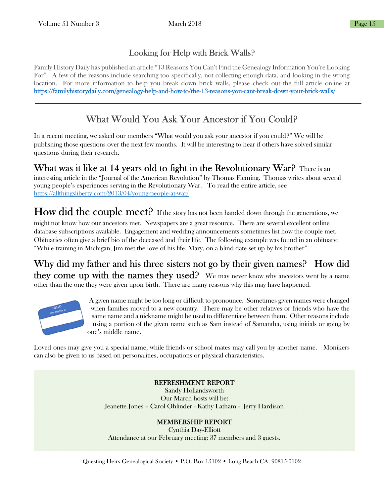## Looking for Help with Brick Walls?

Family History Daily has published an article "13 Reasons You Can't Find the Genealogy Information You're Looking For". A few of the reasons include searching too specifically, not collecting enough data, and looking in the wrong location. For more information to help you break down brick walls, please check out the full article online at https://familyhistorydaily.com/genealogy-help-and-how-to/the-13-reasons-you-cant-break-down-your-brick-walls/

# What Would You Ask Your Ancestor if You Could?

In a recent meeting, we asked our members "What would you ask your ancestor if you could?" We will be publishing those questions over the next few months. It will be interesting to hear if others have solved similar questions during their research.

What was it like at 14 years old to fight in the Revolutionary War? There is an interesting article in the "Journal of the American Revolution" by Thomas Fleming. Thomas writes about several young people's experiences serving in the Revolutionary War. To read the entire article, see https://allthingsliberty.com/2013/04/young-people-at-war/

# How did the couple meet? If the story has not been handed down through the generations, we

might not know how our ancestors met. Newspapers are a great resource. There are several excellent online database subscriptions available. Engagement and wedding announcements sometimes list how the couple met. Obituaries often give a brief bio of the deceased and their life. The following example was found in an obituary: "While training in Michigan, Jim met the love of his life, Mary, on a blind date set up by his brother".

Why did my father and his three sisters not go by their given names? How did they come up with the names they used? We may never know why ancestors went by a name other than the one they were given upon birth. There are many reasons why this may have happened.



A given name might be too long or difficult to pronounce. Sometimes given names were changed when families moved to a new country. There may be other relatives or friends who have the same name and a nickname might be used to differentiate between them. Other reasons include using a portion of the given name such as Sam instead of Samantha, using initials or going by one's middle name.

Loved ones may give you a special name, while friends or school mates may call you by another name. Monikers can also be given to us based on personalities, occupations or physical characteristics.

### REFRESHMENT REPORT

Sandy Hollandsworth Our March hosts will be: Jeanette Jones – Carol Ohlinder - Kathy Latham - Jerry Hardison

#### MEMBERSHIP REPORT

Cynthia Day-Elliott Attendance at our February meeting: 37 members and 3 guests.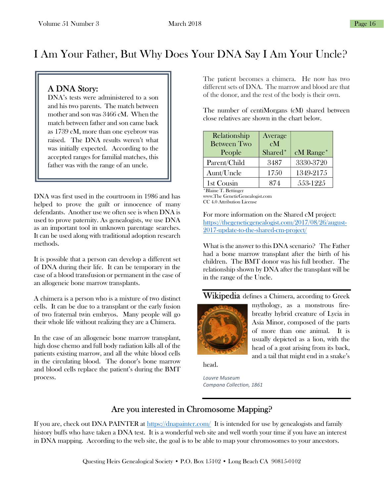# I Am Your Father, But Why Does Your DNA Say I Am Your Uncle?

## A DNA Story:

DNA's tests were administered to a son and his two parents. The match between mother and son was 3466 cM. When the match between father and son came back as 1739 cM, more than one eyebrow was raised. The DNA results weren't what was initially expected. According to the accepted ranges for familial matches, this father was with the range of an uncle.

DNA was first used in the courtroom in 1986 and has helped to prove the guilt or innocence of many defendants. Another use we often see is when DNA is used to prove paternity. As genealogists, we use DNA as an important tool in unknown parentage searches. It can be used along with traditional adoption research methods.

It is possible that a person can develop a different set of DNA during their life. It can be temporary in the case of a blood transfusion or permanent in the case of an allogeneic bone marrow transplants.

A chimera is a person who is a mixture of two distinct cells. It can be due to a transplant or the early fusion of two fraternal twin embryos. Many people will go their whole life without realizing they are a Chimera.

In the case of an allogeneic bone marrow transplant, high dose chemo and full body radiation kills all of the patients existing marrow, and all the white blood cells in the circulating blood. The donor's bone marrow and blood cells replace the patient's during the BMT process.

The patient becomes a chimera. He now has two different sets of DNA. The marrow and blood are that of the donor, and the rest of the body is their own.

The number of centiMorgans (cM) shared between close relatives are shown in the chart below.

| Relationship<br><b>Between Two</b><br>People | Average<br>cM<br>Shared <sup>*</sup> | cM Range* |
|----------------------------------------------|--------------------------------------|-----------|
| Parent/Child                                 | 3487                                 | 3330-3720 |
| Aunt/Uncle                                   | 1750                                 | 1349-2175 |
| 1st Cousin                                   | 874                                  | 553-1225  |

\*Blaine T. Bettinger www.The GeneticGenealogist.com CC 4.0 Attribution License

For more information on the Shared cM project: https://thegeneticgenealogist.com/2017/08/26/august-2017-update-to-the-shared-cm-project/

What is the answer to this DNA scenario? The Father had a bone marrow transplant after the birth of his children. The BMT donor was his full brother. The relationship shown by DNA after the transplant will be in the range of the Uncle.

### Wikipedia defines a Chimera, according to Greek



mythology, as a monstrous firebreathy hybrid creature of Lycia in Asia Minor, composed of the parts of more than one animal. It is usually depicted as a lion, with the head of a goat arising from its back, and a tail that might end in a snake's

head.

Louvre Museum Campana Collection, 1861

### Are you interested in Chromosome Mapping?

If you are, check out DNA PAINTER at https://dnapainter.com/ It is intended for use by genealogists and family history buffs who have taken a DNA test. It is a wonderful web site and well worth your time if you have an interest in DNA mapping. According to the web site, the goal is to be able to map your chromosomes to your ancestors.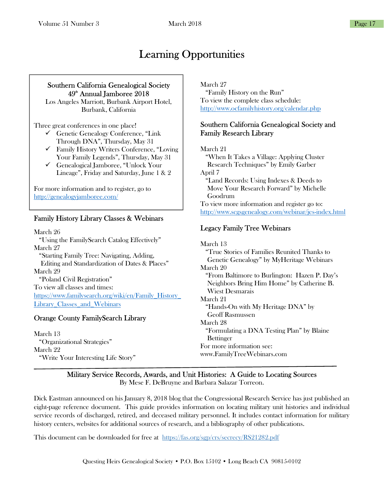# Learning Opportunities

### Southern California Genealogical Society  $49<sup>th</sup>$  Annual Jamboree 2018

Los Angeles Marriott, Burbank Airport Hotel, Burbank, California

Three great conferences in one place!

- $\checkmark$  Genetic Genealogy Conference, "Link" Through DNA", Thursday, May 31
- Family History Writers Conference, "Loving Your Family Legends", Thursday, May 31
- Genealogical Jamboree, "Unlock Your Lineage", Friday and Saturday, June 1 & 2

For more information and to register, go to http://genealogyjamboree.com/

### Family History Library Classes & Webinars

March 26 "Using the FamilySearch Catalog Effectively" March 27 "Starting Family Tree: Navigating, Adding, Editing and Standardization of Dates & Places" March 29 "Poland Civil Registration" To view all classes and times: https://www.familysearch.org/wiki/en/Family\_History\_ Library\_Classes\_and\_Webinars

### Orange County FamilySearch Library

March 13 "Organizational Strategies" March 22 "Write Your Interesting Life Story"

 $\overline{a}$ 

March 27

 "Family History on the Run" To view the complete class schedule: http://www.ocfamilyhistory.org/calendar.php

### Southern California Genealogical Society and Family Research Library

March 21

 "When It Takes a Village: Applying Cluster Research Techniques" by Emily Garber April 7 "Land Records: Using Indexes & Deeds to Move Your Research Forward" by Michelle Goodrum To view more information and register go to: http://www.scgsgenealogy.com/webinar/jes-index.html

### Legacy Family Tree Webinars

March 13 "True Stories of Families Reunited Thanks to Genetic Genealogy" by MyHeritage Webinars March 20 "From Baltimore to Burlington: Hazen P. Day's Neighbors Bring Him Home" by Catherine B. Wiest Desmarais March 21 "Hands-On with My Heritage DNA" by Geoff Rasmussen March 28 "Formulating a DNA Testing Plan" by Blaine Bettinger For more information see: www.FamilyTreeWebinars.com

### Military Service Records, Awards, and Unit Histories: A Guide to Locating Sources

By Mese F. DeBruyne and Barbara Salazar Torreon.

Dick Eastman announced on his January 8, 2018 blog that the Congressional Research Service has just published an eight-page reference document. This guide provides information on locating military unit histories and individual service records of discharged, retired, and deceased military personnel. It includes contact information for military history centers, websites for additional sources of research, and a bibliography of other publications.

This document can be downloaded for free at https://fas.org/sgp/crs/secrecy/RS21282.pdf